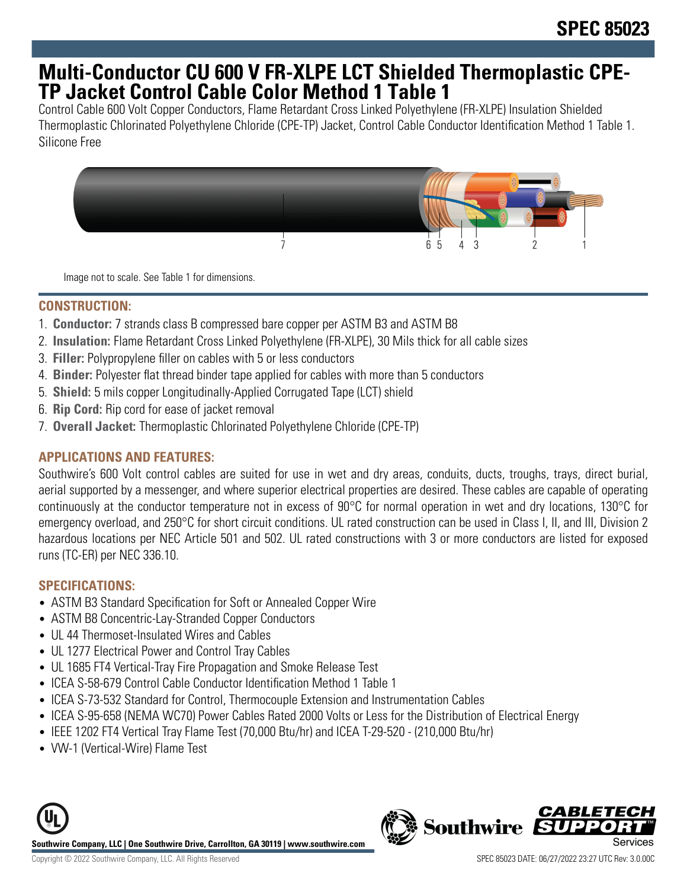## **Multi-Conductor CU 600 V FR-XLPE LCT Shielded Thermoplastic CPE-TP Jacket Control Cable Color Method 1 Table 1**

Control Cable 600 Volt Copper Conductors, Flame Retardant Cross Linked Polyethylene (FR-XLPE) Insulation Shielded Thermoplastic Chlorinated Polyethylene Chloride (CPE-TP) Jacket, Control Cable Conductor Identification Method 1 Table 1. Silicone Free



Image not to scale. See Table 1 for dimensions.

### **CONSTRUCTION:**

- 1. **Conductor:** 7 strands class B compressed bare copper per ASTM B3 and ASTM B8
- 2. **Insulation:** Flame Retardant Cross Linked Polyethylene (FR-XLPE), 30 Mils thick for all cable sizes
- 3. **Filler:** Polypropylene filler on cables with 5 or less conductors
- 4. **Binder:** Polyester flat thread binder tape applied for cables with more than 5 conductors
- 5. **Shield:** 5 mils copper Longitudinally-Applied Corrugated Tape (LCT) shield
- 6. **Rip Cord:** Rip cord for ease of jacket removal
- 7. **Overall Jacket:** Thermoplastic Chlorinated Polyethylene Chloride (CPE-TP)

## **APPLICATIONS AND FEATURES:**

Southwire's 600 Volt control cables are suited for use in wet and dry areas, conduits, ducts, troughs, trays, direct burial, aerial supported by a messenger, and where superior electrical properties are desired. These cables are capable of operating continuously at the conductor temperature not in excess of 90°C for normal operation in wet and dry locations, 130°C for emergency overload, and 250°C for short circuit conditions. UL rated construction can be used in Class I, II, and III, Division 2 hazardous locations per NEC Article 501 and 502. UL rated constructions with 3 or more conductors are listed for exposed runs (TC-ER) per NEC 336.10.

## **SPECIFICATIONS:**

- ASTM B3 Standard Specification for Soft or Annealed Copper Wire
- ASTM B8 Concentric-Lay-Stranded Copper Conductors
- UL 44 Thermoset-Insulated Wires and Cables
- UL 1277 Electrical Power and Control Tray Cables
- UL 1685 FT4 Vertical-Tray Fire Propagation and Smoke Release Test
- ICEA S-58-679 Control Cable Conductor Identification Method 1 Table 1
- ICEA S-73-532 Standard for Control, Thermocouple Extension and Instrumentation Cables
- ICEA S-95-658 (NEMA WC70) Power Cables Rated 2000 Volts or Less for the Distribution of Electrical Energy
- IEEE 1202 FT4 Vertical Tray Flame Test (70,000 Btu/hr) and ICEA T-29-520 (210,000 Btu/hr)
- VW-1 (Vertical-Wire) Flame Test



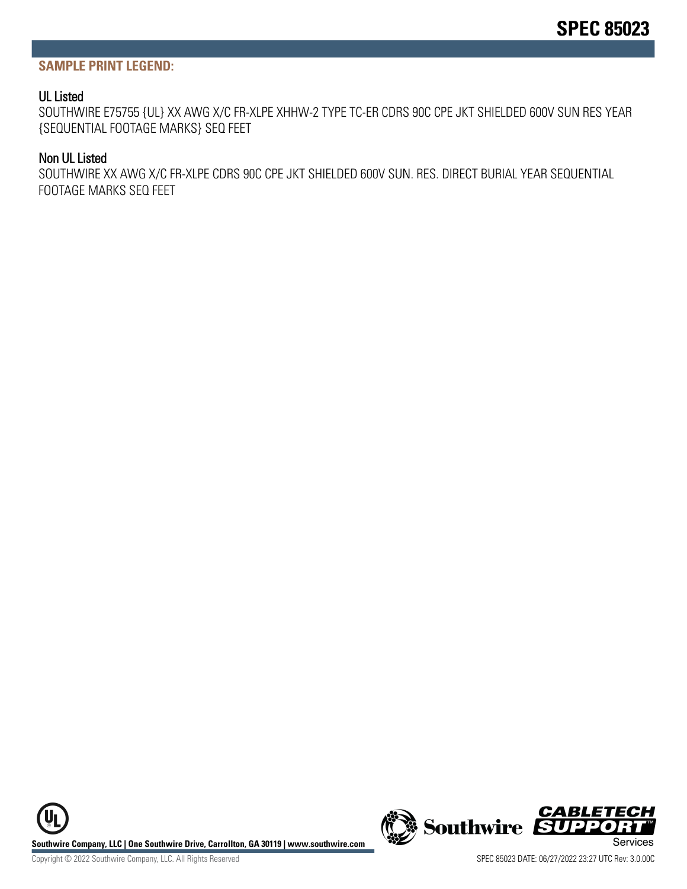#### **SAMPLE PRINT LEGEND:**

#### UL Listed

SOUTHWIRE E75755 {UL} XX AWG X/C FR-XLPE XHHW-2 TYPE TC-ER CDRS 90C CPE JKT SHIELDED 600V SUN RES YEAR {SEQUENTIAL FOOTAGE MARKS} SEQ FEET

#### Non UL Listed

SOUTHWIRE XX AWG X/C FR-XLPE CDRS 90C CPE JKT SHIELDED 600V SUN. RES. DIRECT BURIAL YEAR SEQUENTIAL FOOTAGE MARKS SEQ FEET

Southwire Company, LLC | One Southwire Drive, Carrollton, GA 30119 | www.southwire.com **Second Company** Services



Copyright © 2022 Southwire Company, LLC. All Rights Reserved SPEC 85023 DATE: 06/27/2022 23:27 UTC Rev: 3.0.00C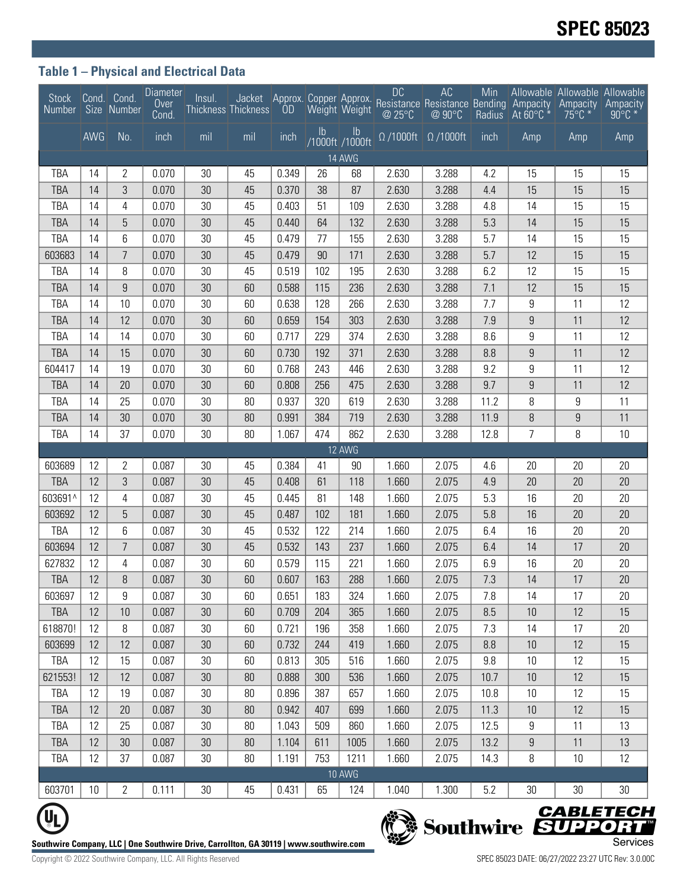## **Table 1 – Physical and Electrical Data**

| Stock<br>Number                                                                                                        |          | Cond. Cond.<br>Size Number | <b>Diameter</b><br>Over<br>Cond. | Insul. | Thickness Thickness |       |            | Weight Weight                    | <b>DC</b><br>@ 25°C         | AC<br>Jacket Approx. Copper Approx. Resistance Resistance Bending Ampacity<br>@ 90°C | Min<br>Radius | $\overline{A}$ t 60°C $\overline{A}$ | Allowable Allowable Allowable<br>Ampacity<br>$75^{\circ}$ C * | Ampacity<br>$90^{\circ}$ C * |
|------------------------------------------------------------------------------------------------------------------------|----------|----------------------------|----------------------------------|--------|---------------------|-------|------------|----------------------------------|-----------------------------|--------------------------------------------------------------------------------------|---------------|--------------------------------------|---------------------------------------------------------------|------------------------------|
|                                                                                                                        | AWG      | No.                        | inch                             | mil    | mil                 | inch  | Ib         | $\mathsf{lb}$<br>/1000ft /1000ft | $\overline{\Omega}$ /1000ft | $\Omega$ /1000ft                                                                     | inch          | Amp                                  | Amp                                                           | Amp                          |
| 14 AWG                                                                                                                 |          |                            |                                  |        |                     |       |            |                                  |                             |                                                                                      |               |                                      |                                                               |                              |
| TBA                                                                                                                    | 14       | 2                          | 0.070                            | 30     | 45                  | 0.349 | 26         | 68                               | 2.630                       | 3.288                                                                                | 4.2           | 15                                   | 15                                                            | 15                           |
| <b>TBA</b>                                                                                                             | 14       | 3                          | 0.070                            | 30     | 45                  | 0.370 | 38         | 87                               | 2.630                       | 3.288                                                                                | 4.4           | 15                                   | 15                                                            | 15                           |
| TBA                                                                                                                    | 14       | 4                          | 0.070                            | 30     | 45                  | 0.403 | 51         | 109                              | 2.630                       | 3.288                                                                                | 4.8           | 14                                   | 15                                                            | 15                           |
| <b>TBA</b>                                                                                                             | 14       | 5                          | 0.070                            | 30     | 45                  | 0.440 | 64         | 132                              | 2.630                       | 3.288                                                                                | 5.3           | 14                                   | 15                                                            | 15                           |
| TBA                                                                                                                    | 14       | 6                          | 0.070                            | 30     | 45                  | 0.479 | 77         | 155                              | 2.630                       | 3.288                                                                                | 5.7           | 14                                   | 15                                                            | 15                           |
| 603683                                                                                                                 | 14       | $\overline{7}$             | 0.070                            | 30     | 45                  | 0.479 | 90         | 171                              | 2.630                       | 3.288                                                                                | 5.7           | 12                                   | 15                                                            | 15                           |
| TBA                                                                                                                    | 14       | 8                          | 0.070                            | 30     | 45                  | 0.519 | 102        | 195                              | 2.630                       | 3.288                                                                                | 6.2           | 12                                   | 15                                                            | 15                           |
| <b>TBA</b>                                                                                                             | 14       | 9                          | 0.070                            | 30     | 60                  | 0.588 | 115        | 236                              | 2.630                       | 3.288                                                                                | 7.1           | 12                                   | 15                                                            | 15                           |
| TBA                                                                                                                    | 14       | 10                         | 0.070                            | 30     | 60                  | 0.638 | 128        | 266                              | 2.630                       | 3.288                                                                                | 7.7           | 9                                    | 11                                                            | 12                           |
| <b>TBA</b>                                                                                                             | 14       | 12                         | 0.070                            | 30     | 60                  | 0.659 | 154        | 303                              | 2.630                       | 3.288                                                                                | 7.9           | $\boldsymbol{9}$                     | 11                                                            | 12                           |
| TBA                                                                                                                    | 14       | 14                         | 0.070                            | 30     | 60                  | 0.717 | 229        | 374                              | 2.630                       | 3.288                                                                                | 8.6           | 9                                    | 11                                                            | 12                           |
| <b>TBA</b>                                                                                                             | 14       | 15                         | 0.070                            | 30     | 60                  | 0.730 | 192        | 371                              | 2.630                       | 3.288                                                                                | 8.8           | 9                                    | 11                                                            | 12                           |
| 604417                                                                                                                 | 14       | 19                         | 0.070                            | 30     | 60                  | 0.768 | 243        | 446                              | 2.630                       | 3.288                                                                                | 9.2           | 9                                    | 11                                                            | 12                           |
| <b>TBA</b>                                                                                                             | 14       | 20                         | 0.070                            | 30     | 60                  | 0.808 | 256        | 475                              | 2.630                       | 3.288                                                                                | 9.7           | 9                                    | 11                                                            | 12                           |
| TBA                                                                                                                    | 14       | 25                         | 0.070                            | 30     | 80                  | 0.937 | 320        | 619                              | 2.630                       | 3.288                                                                                | 11.2          | 8                                    | 9                                                             | 11                           |
| <b>TBA</b>                                                                                                             | 14       | 30                         | 0.070                            | 30     | 80                  | 0.991 | 384        | 719                              | 2.630                       | 3.288                                                                                | 11.9          | 8                                    | $\boldsymbol{9}$                                              | 11                           |
| TBA                                                                                                                    | 14       | 37                         | 0.070                            | 30     | 80                  | 1.067 | 474        | 862                              | 2.630                       | 3.288                                                                                | 12.8          | $\overline{7}$                       | 8                                                             | 10                           |
|                                                                                                                        |          |                            |                                  |        |                     |       |            | 12 AWG                           |                             |                                                                                      |               |                                      |                                                               |                              |
| 603689                                                                                                                 | 12       | $\overline{2}$             | 0.087                            | 30     | 45                  | 0.384 | 41         | 90                               | 1.660                       | 2.075                                                                                | 4.6           | 20                                   | 20                                                            | 20                           |
| <b>TBA</b>                                                                                                             | 12       | 3                          | 0.087                            | 30     | 45                  | 0.408 | 61         | 118                              | 1.660                       | 2.075                                                                                | 4.9           | 20                                   | 20                                                            | 20                           |
| 603691^                                                                                                                | 12       | 4                          | 0.087                            | 30     | 45                  | 0.445 | 81         | 148                              | 1.660                       | 2.075                                                                                | 5.3           | 16                                   | 20                                                            | 20                           |
| 603692                                                                                                                 | 12       | 5                          | 0.087                            | 30     | 45                  | 0.487 | 102        | 181                              | 1.660                       | 2.075                                                                                | 5.8           | 16                                   | 20                                                            | 20                           |
| TBA                                                                                                                    | 12       | 6                          | 0.087                            | 30     | 45                  | 0.532 | 122        | 214                              | 1.660                       | 2.075                                                                                | 6.4           | 16                                   | 20                                                            | 20                           |
| 603694                                                                                                                 | 12       | $\overline{7}$             | 0.087                            | 30     | 45                  | 0.532 | 143        | 237                              | 1.660                       | 2.075                                                                                | 6.4           | 14                                   | 17                                                            | 20                           |
| 627832                                                                                                                 | 12       | 4                          | 0.087                            | 30     | 60                  | 0.579 | 115        | 221                              | 1.660                       | 2.075                                                                                | 6.9           | 16                                   | 20                                                            | 20                           |
| <b>TBA</b>                                                                                                             | 12       | 8                          | 0.087                            | 30     | 60                  | 0.607 | 163        | 288                              | 1.660                       | 2.075                                                                                | 7.3           | 14                                   | 17                                                            | 20                           |
| 603697                                                                                                                 | 12       | 9                          | 0.087                            | 30     | 60                  | 0.651 | 183        | 324                              | 1.660                       | 2.075                                                                                | 7.8           | 14                                   | 17                                                            | 20                           |
| TBA                                                                                                                    | 12       | 10                         | 0.087                            | 30     | 60                  | 0.709 | 204        | 365                              | 1.660                       | 2.075                                                                                | 8.5           | 10                                   | 12                                                            | 15                           |
| 618870!                                                                                                                | 12       | 8                          | 0.087                            | 30     | 60                  | 0.721 | 196        | 358                              | 1.660                       | 2.075                                                                                | 7.3           | 14                                   | 17                                                            | 20                           |
| 603699                                                                                                                 | 12       | 12                         | 0.087                            | 30     | 60                  | 0.732 | 244        | 419                              | 1.660                       | 2.075                                                                                | 8.8           | 10                                   | 12                                                            | 15                           |
| TBA                                                                                                                    | 12       | 15                         | 0.087                            | 30     | 60                  | 0.813 | 305        | 516                              | 1.660                       | 2.075                                                                                | 9.8           | 10                                   | 12                                                            | 15                           |
| 621553!                                                                                                                | 12       | 12                         | 0.087                            | 30     | 80                  | 0.888 | 300        | 536                              | 1.660                       | 2.075                                                                                | 10.7          | 10                                   | 12                                                            | 15                           |
| TBA                                                                                                                    | 12       | 19                         | 0.087                            | 30     | 80                  | 0.896 | 387        | 657                              | 1.660                       | 2.075                                                                                | 10.8          | 10                                   | 12                                                            | 15                           |
| <b>TBA</b>                                                                                                             | 12       | 20                         | 0.087                            | 30     | 80                  | 0.942 | 407        | 699                              | 1.660                       | 2.075                                                                                | 11.3          | 10                                   | 12                                                            | 15                           |
| TBA                                                                                                                    | 12<br>12 | 25                         | 0.087                            | 30     | 80                  | 1.043 | 509        | 860                              | 1.660                       | 2.075                                                                                | 12.5          | 9                                    | 11                                                            | 13                           |
| TBA                                                                                                                    |          | 30<br>37                   | 0.087                            | 30     | 80                  | 1.104 | 611<br>753 | 1005                             | 1.660                       | 2.075                                                                                | 13.2          | 9                                    | 11                                                            | 13                           |
| TBA                                                                                                                    | 12       |                            | 0.087                            | 30     | 80                  | 1.191 |            | 1211<br>10 AWG                   | 1.660                       | 2.075                                                                                | 14.3          | 8                                    | 10                                                            | 12                           |
| 603701                                                                                                                 | 10       | $\mathbf{2}$               | 0.111                            | 30     | 45                  | 0.431 | 65         | 124                              | 1.040                       | 1.300                                                                                | 5.2           | 30                                   | 30                                                            | 30                           |
|                                                                                                                        |          |                            |                                  |        |                     |       |            |                                  |                             |                                                                                      |               |                                      |                                                               |                              |
|                                                                                                                        |          |                            |                                  |        |                     |       |            |                                  |                             |                                                                                      |               |                                      |                                                               |                              |
| Southwire SUPPORT<br>Services<br>outhwire Company. LLC   One Southwire Drive. Carrollton. GA 30119   www.southwire.com |          |                            |                                  |        |                     |       |            |                                  |                             |                                                                                      |               |                                      |                                                               |                              |